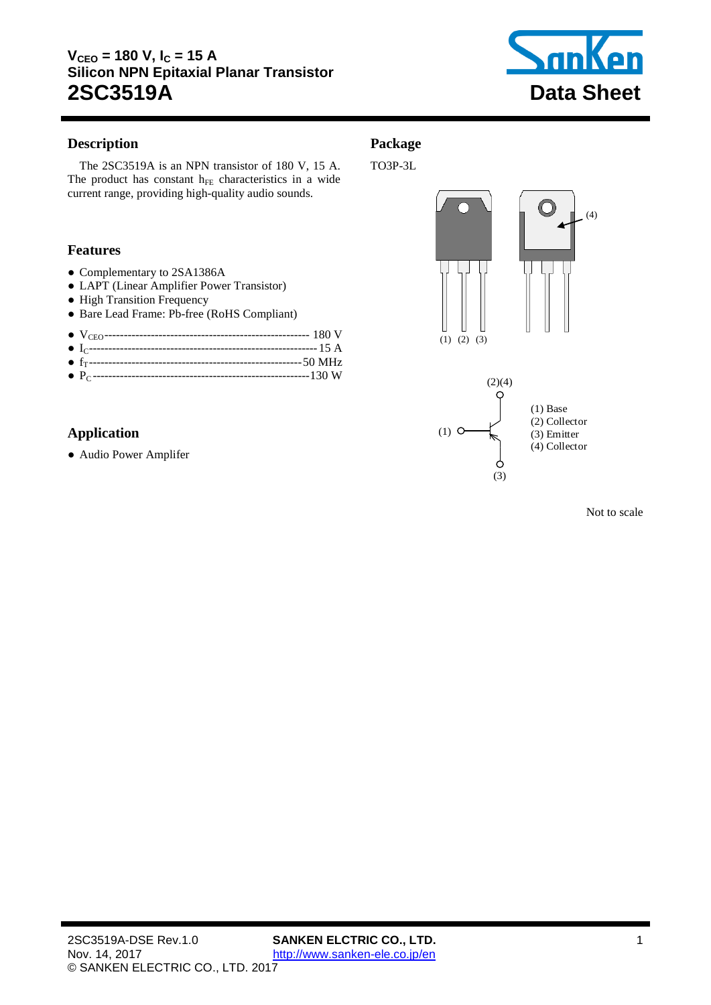

### <span id="page-0-0"></span>**Description**

The 2SC3519A is an [NPN](#page-0-0) transistor of [180](#page-1-0) V, [15](#page-1-1) A. The product has constant  $h_{FE}$  characteristics in a wide current range, providing high-quality audio sounds.

### **Features**

- Complementary to 2SA1386A
- LAPT (Linear Amplifier Power Transistor)
- High Transition Frequency
- Bare Lead Frame: Pb-free (RoHS Compliant)

● P<sup>C</sup> -------------------------------------------------------[-130](#page-1-3) W

## **Application**

● Audio Power Amplifer









Not to scale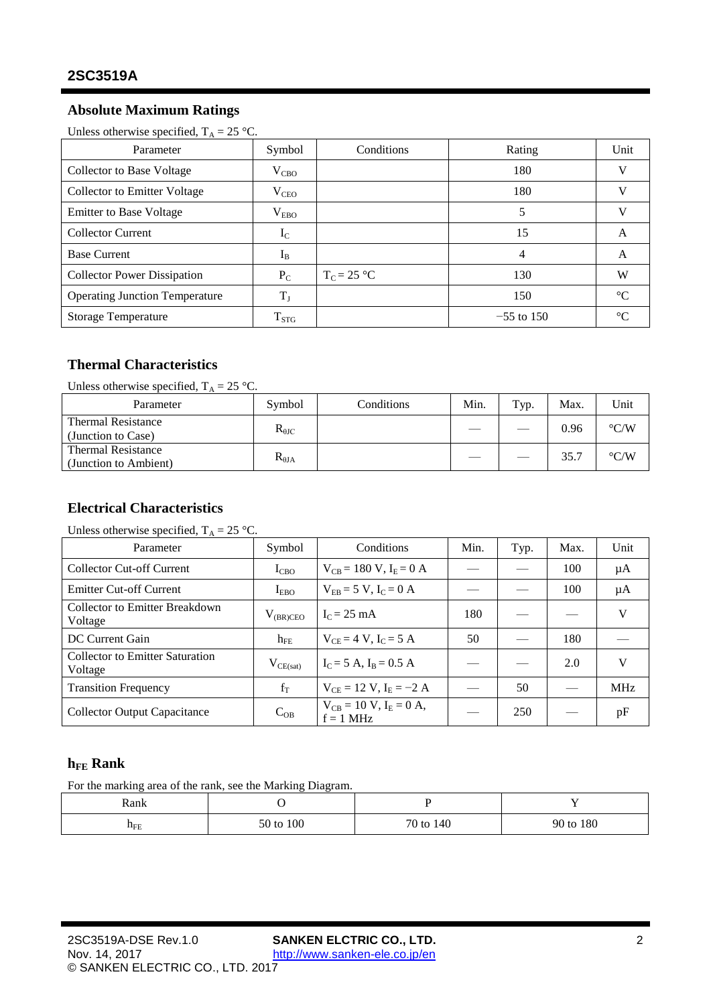# **Absolute Maximum Ratings**

<span id="page-1-4"></span><span id="page-1-1"></span><span id="page-1-0"></span>Unless otherwise specified,  $T_A = 25$  °C.

| Parameter                             | Symbol        | Conditions    | Rating       | Unit            |
|---------------------------------------|---------------|---------------|--------------|-----------------|
| Collector to Base Voltage             | $V_{CBO}$     |               | 180          | V               |
| Collector to Emitter Voltage          | $V_{\rm CEO}$ |               | 180          | W               |
| <b>Emitter to Base Voltage</b>        | $\rm V_{EBO}$ |               | 5            |                 |
| <b>Collector Current</b>              | $I_{\rm C}$   |               | 15           | A               |
| <b>Base Current</b>                   | $I_{B}$       |               | 4            | А               |
| <b>Collector Power Dissipation</b>    | $P_{C}$       | $T_c = 25$ °C | 130          | W               |
| <b>Operating Junction Temperature</b> | $T_{\rm J}$   |               | 150          | $\rm ^{\circ}C$ |
| <b>Storage Temperature</b>            | $T_{STG}$     |               | $-55$ to 150 | $^{\circ}C$     |

# <span id="page-1-3"></span>**Thermal Characteristics**

Unless otherwise specified,  $T_A = 25$  °C.

| Parameter                                          | Symbol           | Conditions | Min. | Typ. | Max. | Unit               |
|----------------------------------------------------|------------------|------------|------|------|------|--------------------|
| <b>Thermal Resistance</b><br>(Junction to Case)    | $R_{\theta{JC}}$ |            |      |      | 0.96 | $\rm ^{\circ} C/W$ |
| <b>Thermal Resistance</b><br>(Junction to Ambient) | $R_{\theta JA}$  |            |      |      | 35.7 | $\rm ^{\circ} C/W$ |

# **Electrical Characteristics**

| Unless otherwise specified, $T_A = 25$ °C. |  |
|--------------------------------------------|--|
|--------------------------------------------|--|

| Parameter                                         | Symbol        | Conditions                                     | Min. | Typ. | Max. | Unit       |
|---------------------------------------------------|---------------|------------------------------------------------|------|------|------|------------|
| <b>Collector Cut-off Current</b>                  | $I_{CBO}$     | $V_{CB} = 180 V, I_E = 0 A$                    |      |      | 100  | μA         |
| <b>Emitter Cut-off Current</b>                    | $I_{EBO}$     | $V_{FB} = 5 V$ , $I_C = 0 A$                   |      |      | 100  | μA         |
| Collector to Emitter Breakdown<br>Voltage         | $V_{(BR)CEO}$ | $IC = 25 mA$                                   | 180  |      |      | V          |
| DC Current Gain                                   | $h_{FE}$      | $V_{CF} = 4 V, I_C = 5 A$                      | 50   |      | 180  |            |
| <b>Collector to Emitter Saturation</b><br>Voltage | $V_{CE(sat)}$ | $I_C = 5 A$ , $I_B = 0.5 A$                    |      |      | 2.0  | V          |
| <b>Transition Frequency</b>                       | $f_T$         | $V_{CF} = 12 V, I_E = -2 A$                    |      | 50   |      | <b>MHz</b> |
| <b>Collector Output Capacitance</b>               | $C_{OB}$      | $V_{CB} = 10 V$ , $I_E = 0 A$ ,<br>$f = 1$ MHz |      | 250  |      | pF         |

## <span id="page-1-2"></span>**hFE Rank**

For the marking area of the rank, see the Marking Diagram.

| Rank                     |           |                |           |
|--------------------------|-----------|----------------|-----------|
| $\mathbf{n}_{\text{FE}}$ | 50 to 100 | $70$ to<br>140 | 90 to 180 |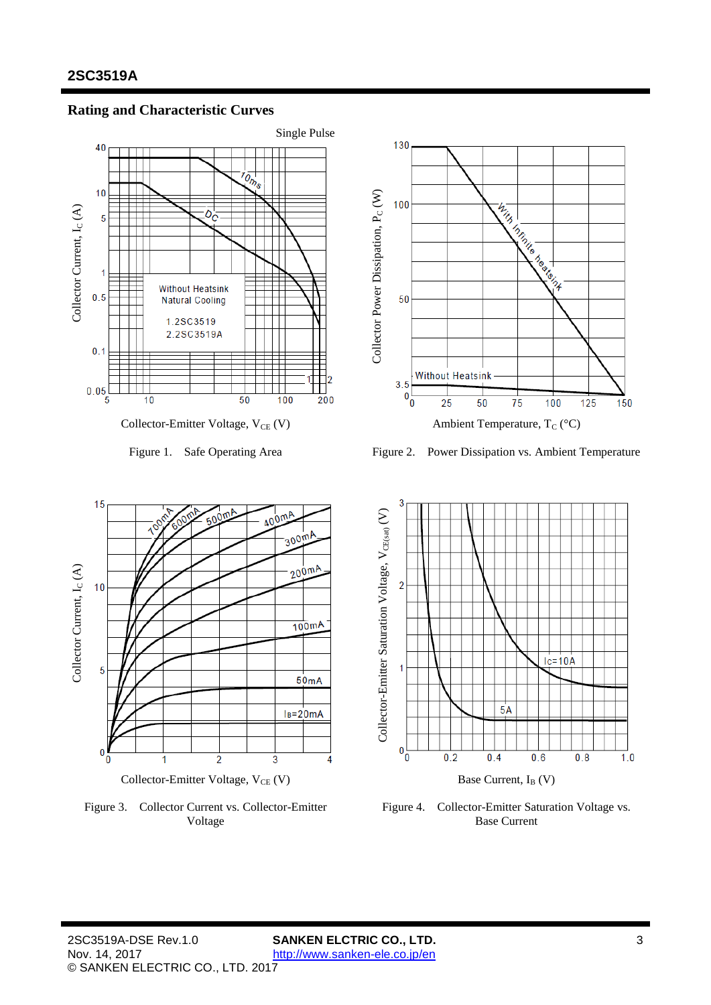

### **Rating and Characteristic Curves**





Figure 3. Collector Current vs. Collector-Emitter Voltage



Figure 1. Safe Operating Area Figure 2. Power Dissipation vs. Ambient Temperature



Figure 4. Collector-Emitter Saturation Voltage vs. Base Current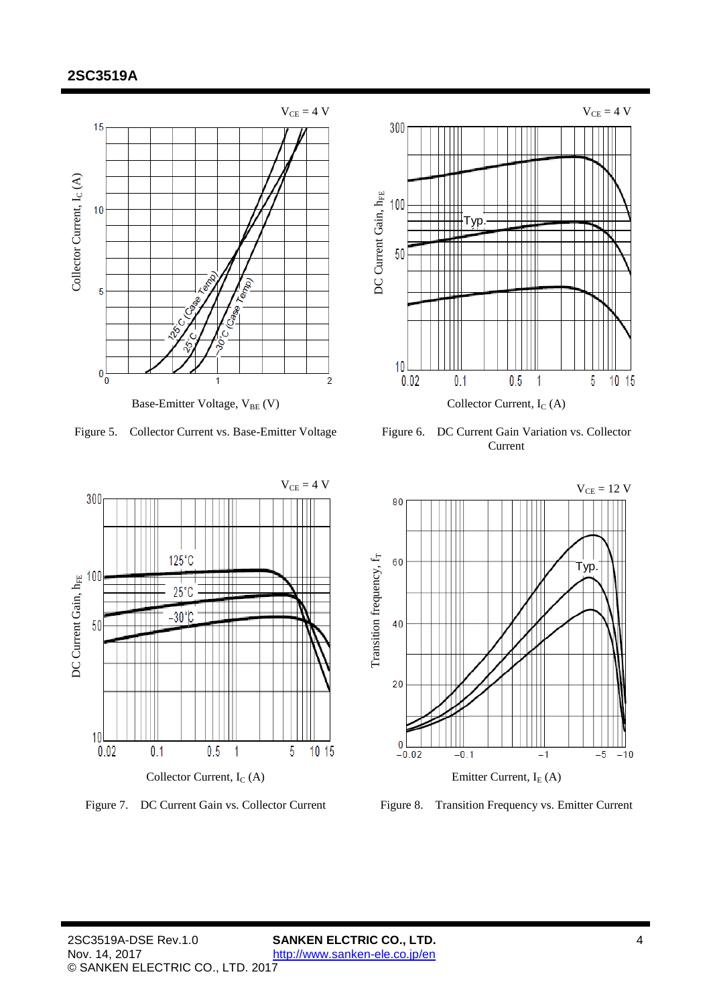



Figure 5. Collector Current vs. Base-Emitter Voltage Figure 6. DC Current Gain Variation vs. Collector Current



![](_page_3_Figure_8.jpeg)

Figure 7. DC Current Gain vs. Collector Current Figure 8. Transition Frequency vs. Emitter Current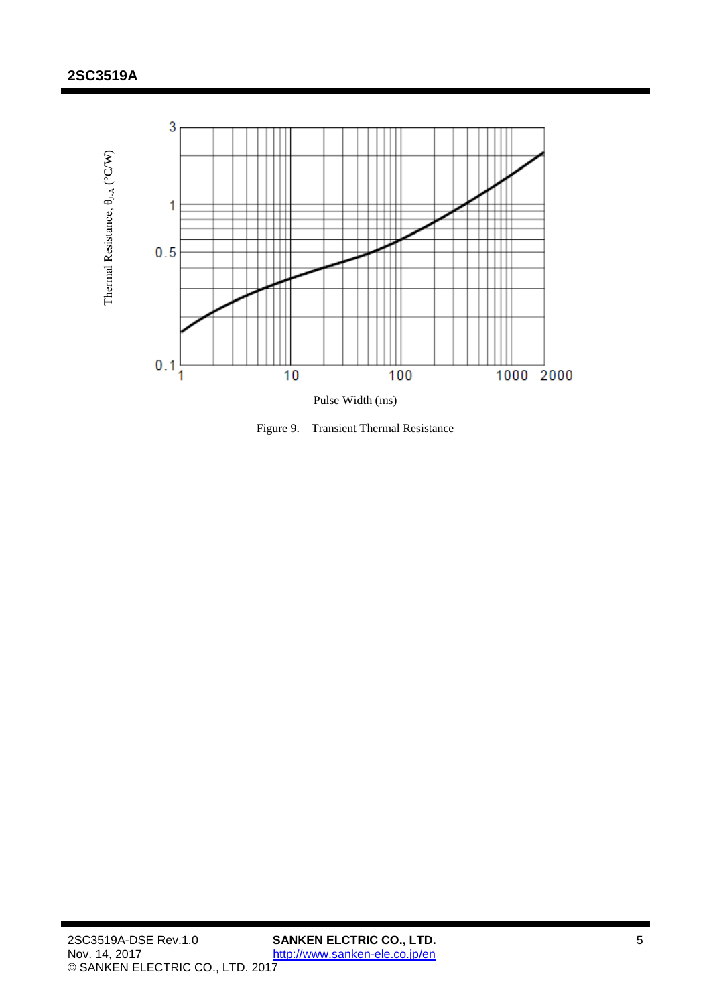![](_page_4_Figure_1.jpeg)

Figure 9. Transient Thermal Resistance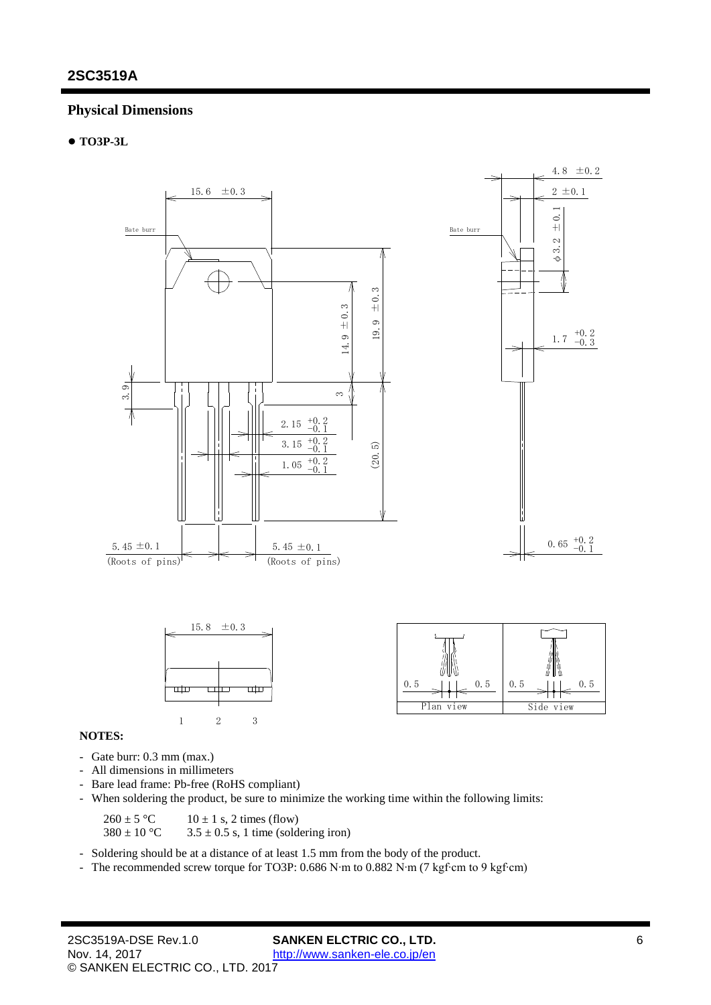## **Physical Dimensions**

#### ● **TO3P-3L**

![](_page_5_Figure_3.jpeg)

#### **NOTES:**

- Gate burr: 0.3 mm (max.)
- All dimensions in millimeters
- Bare lead frame: Pb-free (RoHS compliant)
- When soldering the product, be sure to minimize the working time within the following limits:

 $260 \pm 5$  °C 10  $\pm$  1 s, 2 times (flow)<br> $380 \pm 10$  °C 3.5  $\pm$  0.5 s, 1 time (sold

 $3.5 \pm 0.5$  s, 1 time (soldering iron)

- Soldering should be at a distance of at least 1.5 mm from the body of the product.

- The recommended screw torque for TO3P: 0.686 N∙m to 0.882 N∙m (7 kgf∙cm to 9 kgf∙cm)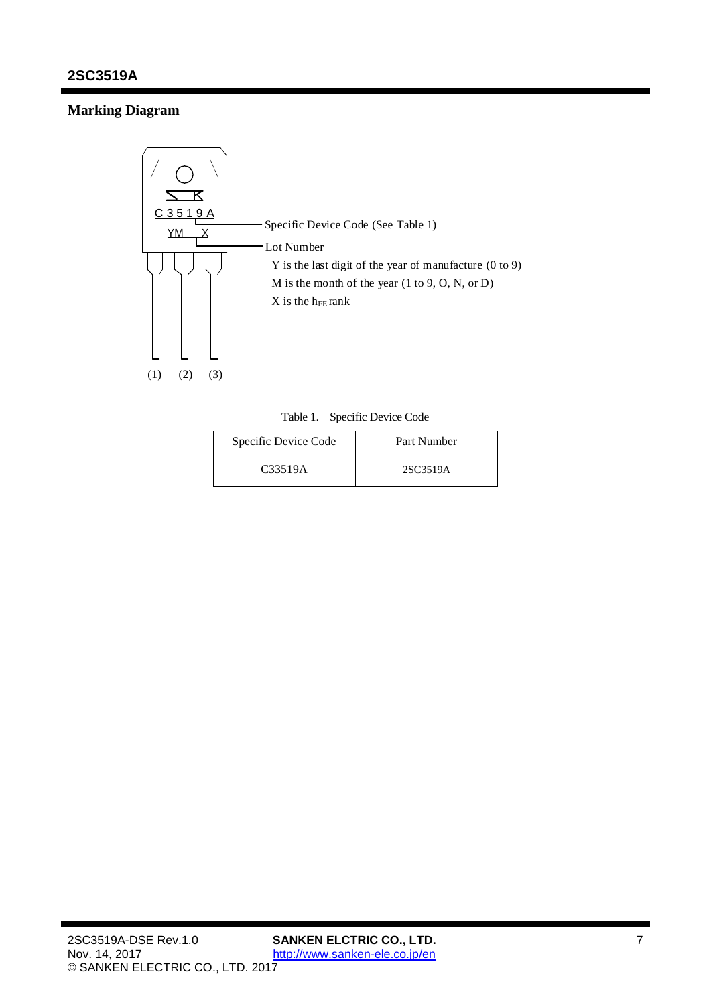# **Marking Diagram**

![](_page_6_Figure_2.jpeg)

Table 1. Specific Device Code

| Specific Device Code | Part Number |
|----------------------|-------------|
| C33519A              | 2SC3519A    |